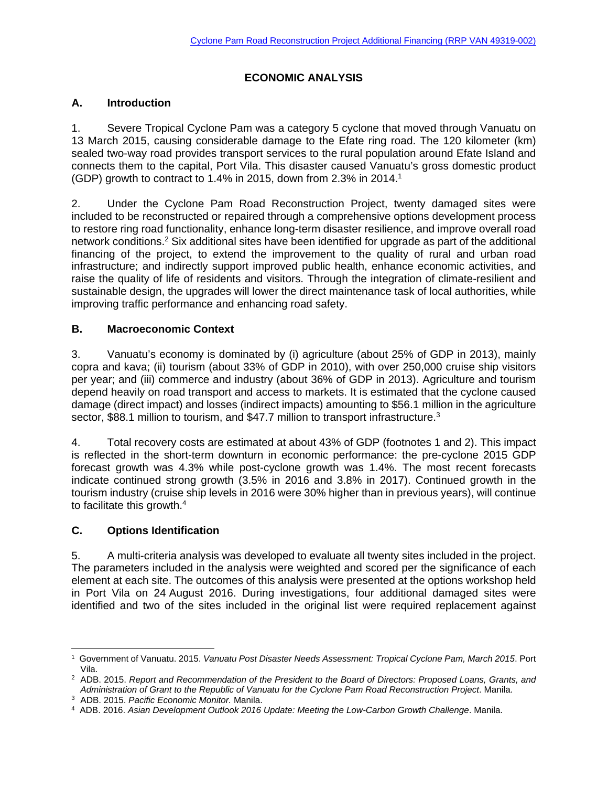# **ECONOMIC ANALYSIS**

#### **A. Introduction**

1. Severe Tropical Cyclone Pam was a category 5 cyclone that moved through Vanuatu on 13 March 2015, causing considerable damage to the Efate ring road. The 120 kilometer (km) sealed two-way road provides transport services to the rural population around Efate Island and connects them to the capital, Port Vila. This disaster caused Vanuatu's gross domestic product (GDP) growth to contract to 1.4% in 2015, down from 2.3% in 2014.1

2. Under the Cyclone Pam Road Reconstruction Project, twenty damaged sites were included to be reconstructed or repaired through a comprehensive options development process to restore ring road functionality, enhance long-term disaster resilience, and improve overall road network conditions.2 Six additional sites have been identified for upgrade as part of the additional financing of the project, to extend the improvement to the quality of rural and urban road infrastructure; and indirectly support improved public health, enhance economic activities, and raise the quality of life of residents and visitors. Through the integration of climate-resilient and sustainable design, the upgrades will lower the direct maintenance task of local authorities, while improving traffic performance and enhancing road safety.

#### **B. Macroeconomic Context**

3. Vanuatu's economy is dominated by (i) agriculture (about 25% of GDP in 2013), mainly copra and kava; (ii) tourism (about 33% of GDP in 2010), with over 250,000 cruise ship visitors per year; and (iii) commerce and industry (about 36% of GDP in 2013). Agriculture and tourism depend heavily on road transport and access to markets. It is estimated that the cyclone caused damage (direct impact) and losses (indirect impacts) amounting to \$56.1 million in the agriculture sector, \$88.1 million to tourism, and \$47.7 million to transport infrastructure.<sup>3</sup>

4. Total recovery costs are estimated at about 43% of GDP (footnotes 1 and 2). This impact is reflected in the short-term downturn in economic performance: the pre-cyclone 2015 GDP forecast growth was 4.3% while post-cyclone growth was 1.4%. The most recent forecasts indicate continued strong growth (3.5% in 2016 and 3.8% in 2017). Continued growth in the tourism industry (cruise ship levels in 2016 were 30% higher than in previous years), will continue to facilitate this growth.4

# **C. Options Identification**

5. A multi-criteria analysis was developed to evaluate all twenty sites included in the project. The parameters included in the analysis were weighted and scored per the significance of each element at each site. The outcomes of this analysis were presented at the options workshop held in Port Vila on 24 August 2016. During investigations, four additional damaged sites were identified and two of the sites included in the original list were required replacement against

<sup>-</sup>1 Government of Vanuatu. 2015. *Vanuatu Post Disaster Needs Assessment: Tropical Cyclone Pam, March 2015*. Port

Vila. 2 ADB. 2015. *Report and Recommendation of the President to the Board of Directors: Proposed Loans, Grants, and*  Administration of Grant to the Republic of Vanuatu for the Cyclone Pam Road Reconstruction Project. Manila.<br><sup>3</sup> ADB. 2015. Pacific Economic Monitor. Manila.<br><sup>4</sup> ADB. 2016. Asian Development Outlook 2016 Update: Meeting the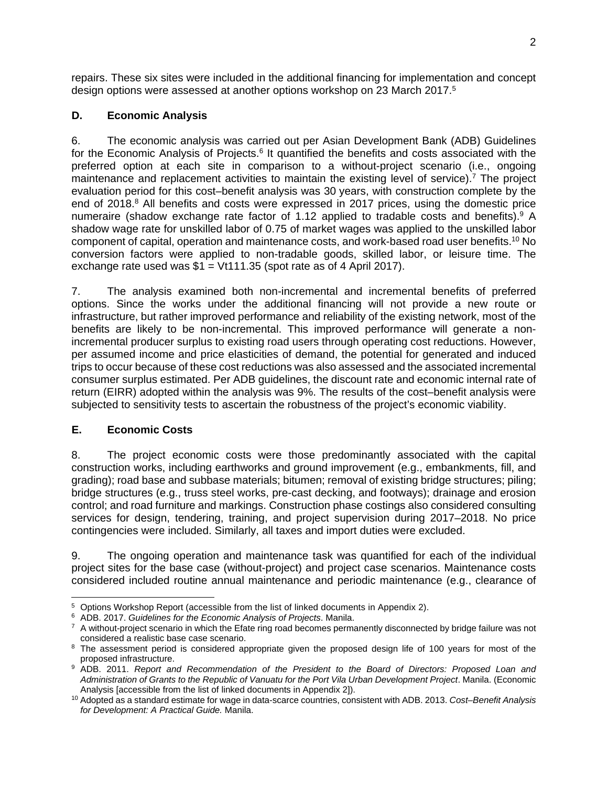repairs. These six sites were included in the additional financing for implementation and concept design options were assessed at another options workshop on 23 March 2017.<sup>5</sup>

#### **D. Economic Analysis**

6. The economic analysis was carried out per Asian Development Bank (ADB) Guidelines for the Economic Analysis of Projects.<sup>6</sup> It quantified the benefits and costs associated with the preferred option at each site in comparison to a without-project scenario (i.e., ongoing maintenance and replacement activities to maintain the existing level of service).<sup>7</sup> The project evaluation period for this cost–benefit analysis was 30 years, with construction complete by the end of 2018.<sup>8</sup> All benefits and costs were expressed in 2017 prices, using the domestic price numeraire (shadow exchange rate factor of 1.12 applied to tradable costs and benefits).<sup>9</sup> A shadow wage rate for unskilled labor of 0.75 of market wages was applied to the unskilled labor component of capital, operation and maintenance costs, and work-based road user benefits.10 No conversion factors were applied to non-tradable goods, skilled labor, or leisure time. The exchange rate used was  $$1 = Vt111.35$  (spot rate as of 4 April 2017).

7. The analysis examined both non-incremental and incremental benefits of preferred options. Since the works under the additional financing will not provide a new route or infrastructure, but rather improved performance and reliability of the existing network, most of the benefits are likely to be non-incremental. This improved performance will generate a nonincremental producer surplus to existing road users through operating cost reductions. However, per assumed income and price elasticities of demand, the potential for generated and induced trips to occur because of these cost reductions was also assessed and the associated incremental consumer surplus estimated. Per ADB guidelines, the discount rate and economic internal rate of return (EIRR) adopted within the analysis was 9%. The results of the cost–benefit analysis were subjected to sensitivity tests to ascertain the robustness of the project's economic viability.

# **E. Economic Costs**

8. The project economic costs were those predominantly associated with the capital construction works, including earthworks and ground improvement (e.g., embankments, fill, and grading); road base and subbase materials; bitumen; removal of existing bridge structures; piling; bridge structures (e.g., truss steel works, pre-cast decking, and footways); drainage and erosion control; and road furniture and markings. Construction phase costings also considered consulting services for design, tendering, training, and project supervision during 2017–2018. No price contingencies were included. Similarly, all taxes and import duties were excluded.

9. The ongoing operation and maintenance task was quantified for each of the individual project sites for the base case (without-project) and project case scenarios. Maintenance costs considered included routine annual maintenance and periodic maintenance (e.g., clearance of

<sup>&</sup>lt;sup>5</sup> Options Workshop Report (accessible from the list of linked documents in Appendix 2).

 $6$  ADB. 2017. Guidelines for the Economic Analysis of Projects. Manila.<br>
<sup>7</sup> A without-project scenario in which the Efate ring road becomes permanently disconnected by bridge failure was not considered a realistic base

<sup>&</sup>lt;sup>8</sup> The assessment period is considered appropriate given the proposed design life of 100 years for most of the proposed infrastructure.

<sup>&</sup>lt;sup>9</sup> ADB. 2011. *Report and Recommendation of the President to the Board of Directors: Proposed Loan and Administration of Grants to the Republic of Vanuatu for the Port Vila Urban Development Project*. Manila. (Economic Analysis [accessible from the list of linked documents in Appendix 2]). 10 Adopted as a standard estimate for wage in data-scarce countries, consistent with ADB. 2013. *Cost–Benefit Analysis* 

*for Development: A Practical Guide.* Manila.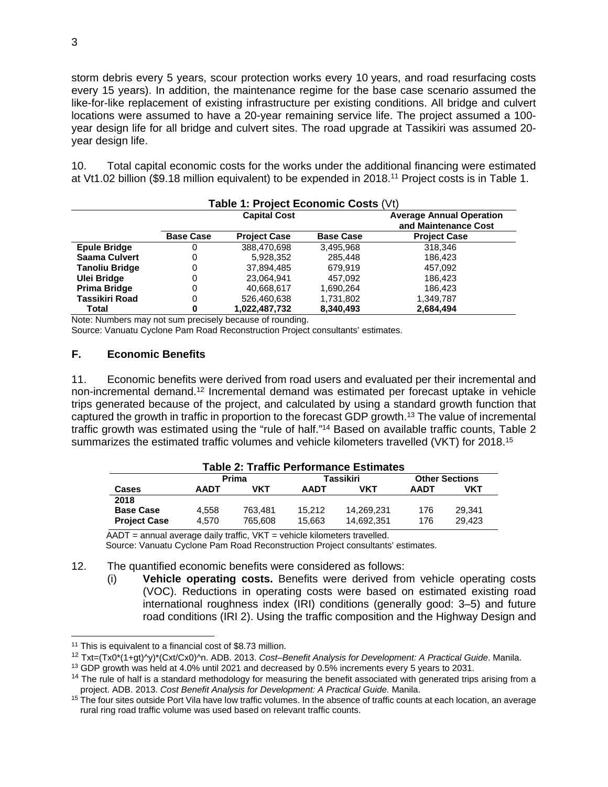storm debris every 5 years, scour protection works every 10 years, and road resurfacing costs every 15 years). In addition, the maintenance regime for the base case scenario assumed the like-for-like replacement of existing infrastructure per existing conditions. All bridge and culvert locations were assumed to have a 20-year remaining service life. The project assumed a 100 year design life for all bridge and culvert sites. The road upgrade at Tassikiri was assumed 20 year design life.

10. Total capital economic costs for the works under the additional financing were estimated at Vt1.02 billion (\$9.18 million equivalent) to be expended in 2018.11 Project costs is in Table 1.

| Table 1: Project Economic Costs (Vt) |                     |                     |                  |                                                         |  |
|--------------------------------------|---------------------|---------------------|------------------|---------------------------------------------------------|--|
|                                      | <b>Capital Cost</b> |                     |                  | <b>Average Annual Operation</b><br>and Maintenance Cost |  |
|                                      | <b>Base Case</b>    | <b>Project Case</b> | <b>Base Case</b> | <b>Project Case</b>                                     |  |
| <b>Epule Bridge</b>                  | 0                   | 388.470.698         | 3,495,968        | 318,346                                                 |  |
| Saama Culvert                        | 0                   | 5,928,352           | 285.448          | 186.423                                                 |  |
| <b>Tanoliu Bridge</b>                | 0                   | 37,894,485          | 679.919          | 457,092                                                 |  |
| <b>Ulei Bridge</b>                   | 0                   | 23,064,941          | 457.092          | 186.423                                                 |  |
| Prima Bridge                         | 0                   | 40,668,617          | 1,690,264        | 186.423                                                 |  |
| Tassikiri Road                       | 0                   | 526,460,638         | 1,731,802        | 1,349,787                                               |  |
| Total                                | 0                   | 1.022.487.732       | 8.340.493        | 2,684,494                                               |  |

Note: Numbers may not sum precisely because of rounding.

Source: Vanuatu Cyclone Pam Road Reconstruction Project consultants' estimates.

#### **F. Economic Benefits**

11. Economic benefits were derived from road users and evaluated per their incremental and non-incremental demand.12 Incremental demand was estimated per forecast uptake in vehicle trips generated because of the project, and calculated by using a standard growth function that captured the growth in traffic in proportion to the forecast GDP growth.13 The value of incremental traffic growth was estimated using the "rule of half."14 Based on available traffic counts, Table 2 summarizes the estimated traffic volumes and vehicle kilometers travelled (VKT) for 2018.<sup>15</sup>

| <b>Table 2: Traffic Performance Estimates</b> |              |         |             |            |                       |        |
|-----------------------------------------------|--------------|---------|-------------|------------|-----------------------|--------|
|                                               | <b>Prima</b> |         | Tassikiri   |            | <b>Other Sections</b> |        |
| <b>Cases</b>                                  | <b>AADT</b>  | VKT     | <b>AADT</b> | VKT        | <b>AADT</b>           | VKT    |
| 2018                                          |              |         |             |            |                       |        |
| <b>Base Case</b>                              | 4.558        | 763.481 | 15.212      | 14,269,231 | 176                   | 29.341 |
| <b>Project Case</b>                           | 4.570        | 765.608 | 15.663      | 14.692.351 | 176                   | 29.423 |

 $\overline{AADT}$  = annual average daily traffic, VKT = vehicle kilometers travelled.

Source: Vanuatu Cyclone Pam Road Reconstruction Project consultants' estimates.

12. The quantified economic benefits were considered as follows:

(i) **Vehicle operating costs.** Benefits were derived from vehicle operating costs (VOC). Reductions in operating costs were based on estimated existing road international roughness index (IRI) conditions (generally good: 3–5) and future road conditions (IRI 2). Using the traffic composition and the Highway Design and

 $11$  This is equivalent to a financial cost of \$8.73 million.

<sup>12</sup> Txt=(Tx0\*(1+gt)^y)\*(Cxt/Cx0)^n. ADB. 2013. *Cost–Benefit Analysis for Development: A Practical Guide*. Manila.

<sup>&</sup>lt;sup>13</sup> GDP growth was held at 4.0% until 2021 and decreased by 0.5% increments every 5 years to 2031.

 $14$  The rule of half is a standard methodology for measuring the benefit associated with generated trips arising from a

project. ADB. 2013. *Cost Benefit Analysis for Development: A Practical Guide.* Manila.<br><sup>15</sup> The four sites outside Port Vila have low traffic volumes. In the absence of traffic counts at each location, an average rural ring road traffic volume was used based on relevant traffic counts.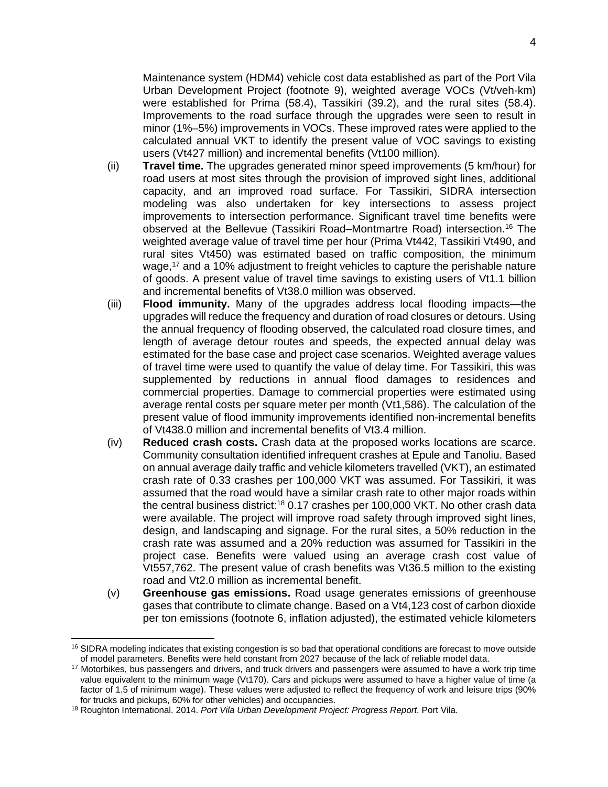Maintenance system (HDM4) vehicle cost data established as part of the Port Vila Urban Development Project (footnote 9), weighted average VOCs (Vt/veh-km) were established for Prima (58.4), Tassikiri (39.2), and the rural sites (58.4). Improvements to the road surface through the upgrades were seen to result in minor (1%–5%) improvements in VOCs. These improved rates were applied to the calculated annual VKT to identify the present value of VOC savings to existing users (Vt427 million) and incremental benefits (Vt100 million).

- (ii) **Travel time.** The upgrades generated minor speed improvements (5 km/hour) for road users at most sites through the provision of improved sight lines, additional capacity, and an improved road surface. For Tassikiri, SIDRA intersection modeling was also undertaken for key intersections to assess project improvements to intersection performance. Significant travel time benefits were observed at the Bellevue (Tassikiri Road–Montmartre Road) intersection.16 The weighted average value of travel time per hour (Prima Vt442, Tassikiri Vt490, and rural sites Vt450) was estimated based on traffic composition, the minimum wage,17 and a 10% adjustment to freight vehicles to capture the perishable nature of goods. A present value of travel time savings to existing users of Vt1.1 billion and incremental benefits of Vt38.0 million was observed.
- (iii) **Flood immunity.** Many of the upgrades address local flooding impacts—the upgrades will reduce the frequency and duration of road closures or detours. Using the annual frequency of flooding observed, the calculated road closure times, and length of average detour routes and speeds, the expected annual delay was estimated for the base case and project case scenarios. Weighted average values of travel time were used to quantify the value of delay time. For Tassikiri, this was supplemented by reductions in annual flood damages to residences and commercial properties. Damage to commercial properties were estimated using average rental costs per square meter per month (Vt1,586). The calculation of the present value of flood immunity improvements identified non-incremental benefits of Vt438.0 million and incremental benefits of Vt3.4 million.
- (iv) **Reduced crash costs.** Crash data at the proposed works locations are scarce. Community consultation identified infrequent crashes at Epule and Tanoliu. Based on annual average daily traffic and vehicle kilometers travelled (VKT), an estimated crash rate of 0.33 crashes per 100,000 VKT was assumed. For Tassikiri, it was assumed that the road would have a similar crash rate to other major roads within the central business district:18 0.17 crashes per 100,000 VKT. No other crash data were available. The project will improve road safety through improved sight lines, design, and landscaping and signage. For the rural sites, a 50% reduction in the crash rate was assumed and a 20% reduction was assumed for Tassikiri in the project case. Benefits were valued using an average crash cost value of Vt557,762. The present value of crash benefits was Vt36.5 million to the existing road and Vt2.0 million as incremental benefit.
- (v) **Greenhouse gas emissions.** Road usage generates emissions of greenhouse gases that contribute to climate change. Based on a Vt4,123 cost of carbon dioxide per ton emissions (footnote 6, inflation adjusted), the estimated vehicle kilometers

<sup>&</sup>lt;sup>16</sup> SIDRA modeling indicates that existing congestion is so bad that operational conditions are forecast to move outside of model parameters. Benefits were held constant from 2027 because of the lack of reliable model data. 17 Motorbikes, bus passengers and drivers, and truck drivers and passengers were assumed to have a work trip time

value equivalent to the minimum wage (Vt170). Cars and pickups were assumed to have a higher value of time (a factor of 1.5 of minimum wage). These values were adjusted to reflect the frequency of work and leisure trips (90% for trucks and pickups, 60% for other vehicles) and occupancies. 18 Roughton International. 2014. *Port Vila Urban Development Project: Progress Report*. Port Vila.